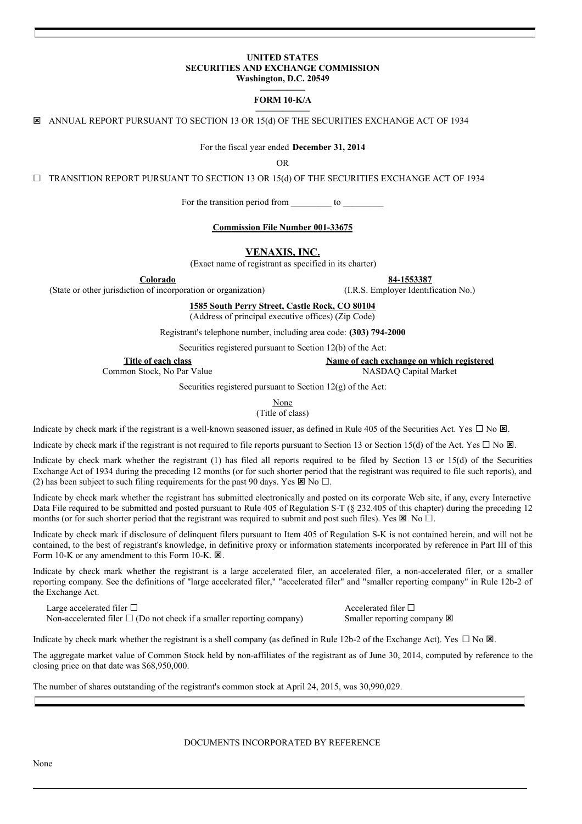## **UNITED STATES SECURITIES AND EXCHANGE COMMISSION Washington, D.C. 20549**

**—————**

## **FORM 10-K/A ——————**

**E** ANNUAL REPORT PURSUANT TO SECTION 13 OR 15(d) OF THE SECURITIES EXCHANGE ACT OF 1934

For the fiscal year ended **December 31, 2014**

OR

☐ TRANSITION REPORT PURSUANT TO SECTION 13 OR 15(d) OF THE SECURITIES EXCHANGE ACT OF 1934

For the transition period from to  $\sim$ 

#### **Commission File Number 001-33675**

**VENAXIS, INC.**

(Exact name of registrant as specified in its charter)

**Colorado 84-1553387**

(State or other jurisdiction of incorporation or organization) (I.R.S. Employer Identification No.)

**1585 South Perry Street, Castle Rock, CO 80104** (Address of principal executive offices) (Zip Code)

Registrant's telephone number, including area code: **(303) 794-2000**

Securities registered pursuant to Section 12(b) of the Act:

**Title of each class Name of each exchange on which registered**

Common Stock, No Par Value 2008 2009 12:30 NASDAQ Capital Market

Securities registered pursuant to Section 12(g) of the Act:

None

(Title of class)

Indicate by check mark if the registrant is a well-known seasoned issuer, as defined in Rule 405 of the Securities Act. Yes  $\Box$  No  $\boxtimes$ .

Indicate by check mark if the registrant is not required to file reports pursuant to Section 13 or Section 15(d) of the Act. Yes  $\Box$  No  $\mathbb{E}$ .

Indicate by check mark whether the registrant (1) has filed all reports required to be filed by Section 13 or 15(d) of the Securities Exchange Act of 1934 during the preceding 12 months (or for such shorter period that the registrant was required to file such reports), and (2) has been subject to such filing requirements for the past 90 days. Yes  $\boxtimes$  No  $\Box$ .

Indicate by check mark whether the registrant has submitted electronically and posted on its corporate Web site, if any, every Interactive Data File required to be submitted and posted pursuant to Rule 405 of Regulation S-T (§ 232.405 of this chapter) during the preceding 12 months (or for such shorter period that the registrant was required to submit and post such files). Yes  $\boxtimes$  No  $\square$ .

Indicate by check mark if disclosure of delinquent filers pursuant to Item 405 of Regulation S-K is not contained herein, and will not be contained, to the best of registrant's knowledge, in definitive proxy or information statements incorporated by reference in Part III of this Form 10-K or any amendment to this Form 10-K.  $\boxtimes$ .

Indicate by check mark whether the registrant is a large accelerated filer, an accelerated filer, a non-accelerated filer, or a smaller reporting company. See the definitions of "large accelerated filer," "accelerated filer" and "smaller reporting company" in Rule 12b-2 of the Exchange Act.

Large accelerated filer □ accelerated filer □ accelerated filer □ Non-accelerated filer  $\Box$  (Do not check if a smaller reporting company) Smaller reporting company  $\boxtimes$ 

Indicate by check mark whether the registrant is a shell company (as defined in Rule 12b-2 of the Exchange Act). Yes  $\Box$  No  $\boxtimes$ .

The aggregate market value of Common Stock held by non-affiliates of the registrant as of June 30, 2014, computed by reference to the closing price on that date was \$68,950,000.

The number of shares outstanding of the registrant's common stock at April 24, 2015, was 30,990,029.

DOCUMENTS INCORPORATED BY REFERENCE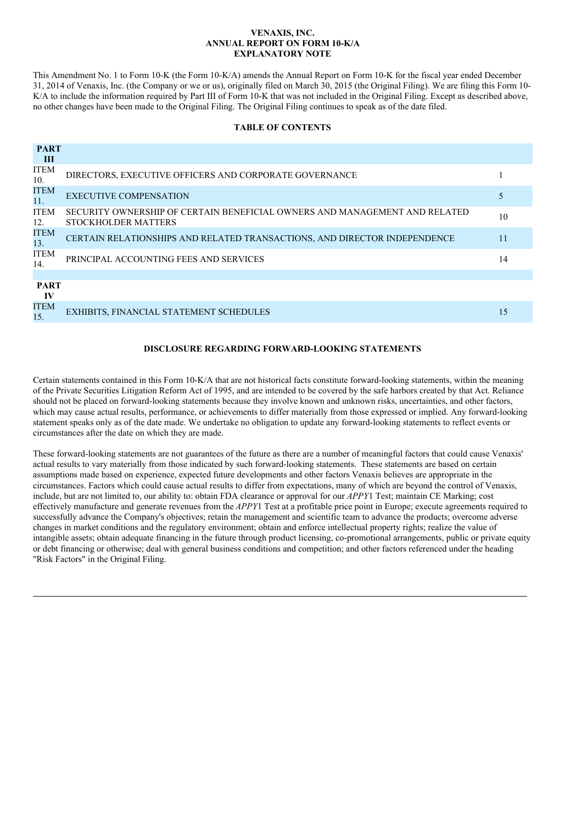## **VENAXIS, INC. ANNUAL REPORT ON FORM 10-K/A EXPLANATORY NOTE**

This Amendment No. 1 to Form 10-K (the Form 10-K/A) amends the Annual Report on Form 10-K for the fiscal year ended December 31, 2014 of Venaxis, Inc. (the Company or we or us), originally filed on March 30, 2015 (the Original Filing). We are filing this Form 10- K/A to include the information required by Part III of Form 10-K that was not included in the Original Filing. Except as described above, no other changes have been made to the Original Filing. The Original Filing continues to speak as of the date filed.

# **TABLE OF CONTENTS**

| <b>PART</b><br>III |                                                                                                   |    |
|--------------------|---------------------------------------------------------------------------------------------------|----|
| <b>ITEM</b><br>10. | DIRECTORS, EXECUTIVE OFFICERS AND CORPORATE GOVERNANCE                                            |    |
| <b>ITEM</b><br>11. | <b>EXECUTIVE COMPENSATION</b>                                                                     |    |
| <b>ITEM</b><br>12. | SECURITY OWNERSHIP OF CERTAIN BENEFICIAL OWNERS AND MANAGEMENT AND RELATED<br>STOCKHOLDER MATTERS | 10 |
| <b>ITEM</b><br>13. | CERTAIN RELATIONSHIPS AND RELATED TRANSACTIONS, AND DIRECTOR INDEPENDENCE                         | 11 |
| <b>ITEM</b><br>14. | PRINCIPAL ACCOUNTING FEES AND SERVICES                                                            | 14 |
|                    |                                                                                                   |    |
| <b>PART</b><br>IV  |                                                                                                   |    |
| <b>ITEM</b><br>15. | EXHIBITS, FINANCIAL STATEMENT SCHEDULES                                                           | 15 |

# **DISCLOSURE REGARDING FORWARD-LOOKING STATEMENTS**

Certain statements contained in this Form 10-K/A that are not historical facts constitute forward-looking statements, within the meaning of the Private Securities Litigation Reform Act of 1995, and are intended to be covered by the safe harbors created by that Act. Reliance should not be placed on forward-looking statements because they involve known and unknown risks, uncertainties, and other factors, which may cause actual results, performance, or achievements to differ materially from those expressed or implied. Any forward-looking statement speaks only as of the date made. We undertake no obligation to update any forward-looking statements to reflect events or circumstances after the date on which they are made.

These forward-looking statements are not guarantees of the future as there are a number of meaningful factors that could cause Venaxis' actual results to vary materially from those indicated by such forward-looking statements. These statements are based on certain assumptions made based on experience, expected future developments and other factors Venaxis believes are appropriate in the circumstances. Factors which could cause actual results to differ from expectations, many of which are beyond the control of Venaxis, include, but are not limited to, our ability to: obtain FDA clearance or approval for our *APPY*1 Test; maintain CE Marking; cost effectively manufacture and generate revenues from the *APPY*1 Test at a profitable price point in Europe; execute agreements required to successfully advance the Company's objectives; retain the management and scientific team to advance the products; overcome adverse changes in market conditions and the regulatory environment; obtain and enforce intellectual property rights; realize the value of intangible assets; obtain adequate financing in the future through product licensing, co-promotional arrangements, public or private equity or debt financing or otherwise; deal with general business conditions and competition; and other factors referenced under the heading "Risk Factors" in the Original Filing.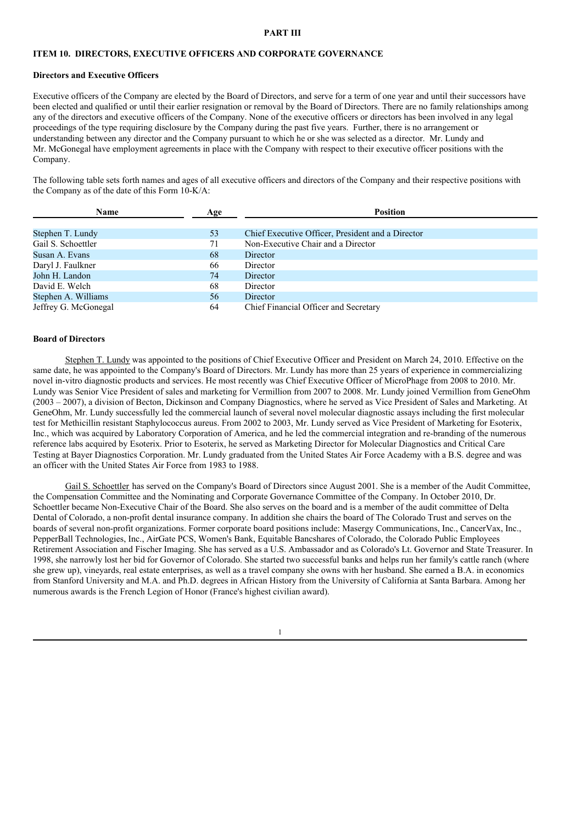### **PART III**

# **ITEM 10. DIRECTORS, EXECUTIVE OFFICERS AND CORPORATE GOVERNANCE**

### **Directors and Executive Officers**

Executive officers of the Company are elected by the Board of Directors, and serve for a term of one year and until their successors have been elected and qualified or until their earlier resignation or removal by the Board of Directors. There are no family relationships among any of the directors and executive officers of the Company. None of the executive officers or directors has been involved in any legal proceedings of the type requiring disclosure by the Company during the past five years. Further, there is no arrangement or understanding between any director and the Company pursuant to which he or she was selected as a director. Mr. Lundy and Mr. McGonegal have employment agreements in place with the Company with respect to their executive officer positions with the Company.

The following table sets forth names and ages of all executive officers and directors of the Company and their respective positions with the Company as of the date of this Form 10-K/A:

| Name                 | Age | <b>Position</b>                                   |
|----------------------|-----|---------------------------------------------------|
|                      |     |                                                   |
| Stephen T. Lundy     | 53  | Chief Executive Officer, President and a Director |
| Gail S. Schoettler   | 71  | Non-Executive Chair and a Director                |
| Susan A. Evans       | 68  | Director                                          |
| Daryl J. Faulkner    | 66  | Director                                          |
| John H. Landon       | 74  | Director                                          |
| David E. Welch       | 68  | Director                                          |
| Stephen A. Williams  | 56  | Director                                          |
| Jeffrey G. McGonegal | 64  | Chief Financial Officer and Secretary             |

# **Board of Directors**

Stephen T. Lundy was appointed to the positions of Chief Executive Officer and President on March 24, 2010. Effective on the same date, he was appointed to the Company's Board of Directors. Mr. Lundy has more than 25 years of experience in commercializing novel in-vitro diagnostic products and services. He most recently was Chief Executive Officer of MicroPhage from 2008 to 2010. Mr. Lundy was Senior Vice President of sales and marketing for Vermillion from 2007 to 2008. Mr. Lundy joined Vermillion from GeneOhm (2003 – 2007), a division of Becton, Dickinson and Company Diagnostics, where he served as Vice President of Sales and Marketing. At GeneOhm, Mr. Lundy successfully led the commercial launch of several novel molecular diagnostic assays including the first molecular test for Methicillin resistant Staphylococcus aureus. From 2002 to 2003, Mr. Lundy served as Vice President of Marketing for Esoterix, Inc., which was acquired by Laboratory Corporation of America, and he led the commercial integration and re-branding of the numerous reference labs acquired by Esoterix. Prior to Esoterix, he served as Marketing Director for Molecular Diagnostics and Critical Care Testing at Bayer Diagnostics Corporation. Mr. Lundy graduated from the United States Air Force Academy with a B.S. degree and was an officer with the United States Air Force from 1983 to 1988.

Gail S. Schoettler has served on the Company's Board of Directors since August 2001. She is a member of the Audit Committee, the Compensation Committee and the Nominating and Corporate Governance Committee of the Company. In October 2010, Dr. Schoettler became Non-Executive Chair of the Board. She also serves on the board and is a member of the audit committee of Delta Dental of Colorado, a non-profit dental insurance company. In addition she chairs the board of The Colorado Trust and serves on the boards of several non-profit organizations. Former corporate board positions include: Masergy Communications, Inc., CancerVax, Inc., PepperBall Technologies, Inc., AirGate PCS, Women's Bank, Equitable Bancshares of Colorado, the Colorado Public Employees Retirement Association and Fischer Imaging. She has served as a U.S. Ambassador and as Colorado's Lt. Governor and State Treasurer. In 1998, she narrowly lost her bid for Governor of Colorado. She started two successful banks and helps run her family's cattle ranch (where she grew up), vineyards, real estate enterprises, as well as a travel company she owns with her husband. She earned a B.A. in economics from Stanford University and M.A. and Ph.D. degrees in African History from the University of California at Santa Barbara. Among her numerous awards is the French Legion of Honor (France's highest civilian award).

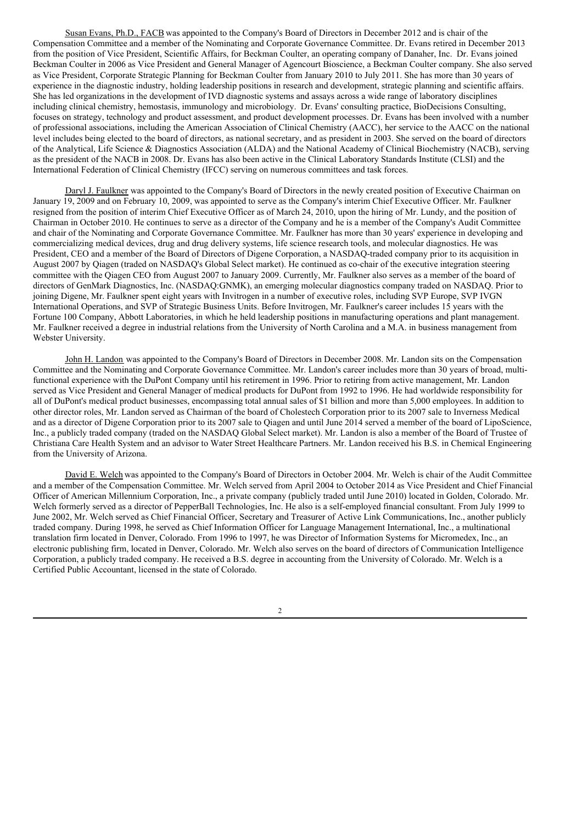Susan Evans, Ph.D., FACB was appointed to the Company's Board of Directors in December 2012 and is chair of the Compensation Committee and a member of the Nominating and Corporate Governance Committee. Dr. Evans retired in December 2013 from the position of Vice President, Scientific Affairs, for Beckman Coulter, an operating company of Danaher, Inc. Dr. Evans joined Beckman Coulter in 2006 as Vice President and General Manager of Agencourt Bioscience, a Beckman Coulter company. She also served as Vice President, Corporate Strategic Planning for Beckman Coulter from January 2010 to July 2011. She has more than 30 years of experience in the diagnostic industry, holding leadership positions in research and development, strategic planning and scientific affairs. She has led organizations in the development of IVD diagnostic systems and assays across a wide range of laboratory disciplines including clinical chemistry, hemostasis, immunology and microbiology. Dr. Evans' consulting practice, BioDecisions Consulting, focuses on strategy, technology and product assessment, and product development processes. Dr. Evans has been involved with a number of professional associations, including the American Association of Clinical Chemistry (AACC), her service to the AACC on the national level includes being elected to the board of directors, as national secretary, and as president in 2003. She served on the board of directors of the Analytical, Life Science & Diagnostics Association (ALDA) and the National Academy of Clinical Biochemistry (NACB), serving as the president of the NACB in 2008. Dr. Evans has also been active in the Clinical Laboratory Standards Institute (CLSI) and the International Federation of Clinical Chemistry (IFCC) serving on numerous committees and task forces.

Daryl J. Faulkner was appointed to the Company's Board of Directors in the newly created position of Executive Chairman on January 19, 2009 and on February 10, 2009, was appointed to serve as the Company's interim Chief Executive Officer. Mr. Faulkner resigned from the position of interim Chief Executive Officer as of March 24, 2010, upon the hiring of Mr. Lundy, and the position of Chairman in October 2010. He continues to serve as a director of the Company and he is a member of the Company's Audit Committee and chair of the Nominating and Corporate Governance Committee. Mr. Faulkner has more than 30 years' experience in developing and commercializing medical devices, drug and drug delivery systems, life science research tools, and molecular diagnostics. He was President, CEO and a member of the Board of Directors of Digene Corporation, a NASDAQ-traded company prior to its acquisition in August 2007 by Qiagen (traded on NASDAQ's Global Select market). He continued as co-chair of the executive integration steering committee with the Qiagen CEO from August 2007 to January 2009. Currently, Mr. Faulkner also serves as a member of the board of directors of GenMark Diagnostics, Inc. (NASDAQ:GNMK), an emerging molecular diagnostics company traded on NASDAQ. Prior to joining Digene, Mr. Faulkner spent eight years with Invitrogen in a number of executive roles, including SVP Europe, SVP IVGN International Operations, and SVP of Strategic Business Units. Before Invitrogen, Mr. Faulkner's career includes 15 years with the Fortune 100 Company, Abbott Laboratories, in which he held leadership positions in manufacturing operations and plant management. Mr. Faulkner received a degree in industrial relations from the University of North Carolina and a M.A. in business management from Webster University.

John H. Landon was appointed to the Company's Board of Directors in December 2008. Mr. Landon sits on the Compensation Committee and the Nominating and Corporate Governance Committee. Mr. Landon's career includes more than 30 years of broad, multifunctional experience with the DuPont Company until his retirement in 1996. Prior to retiring from active management, Mr. Landon served as Vice President and General Manager of medical products for DuPont from 1992 to 1996. He had worldwide responsibility for all of DuPont's medical product businesses, encompassing total annual sales of \$1 billion and more than 5,000 employees. In addition to other director roles, Mr. Landon served as Chairman of the board of Cholestech Corporation prior to its 2007 sale to Inverness Medical and as a director of Digene Corporation prior to its 2007 sale to Qiagen and until June 2014 served a member of the board of LipoScience, Inc., a publicly traded company (traded on the NASDAQ Global Select market). Mr. Landon is also a member of the Board of Trustee of Christiana Care Health System and an advisor to Water Street Healthcare Partners. Mr. Landon received his B.S. in Chemical Engineering from the University of Arizona.

David E. Welch was appointed to the Company's Board of Directors in October 2004. Mr. Welch is chair of the Audit Committee and a member of the Compensation Committee. Mr. Welch served from April 2004 to October 2014 as Vice President and Chief Financial Officer of American Millennium Corporation, Inc., a private company (publicly traded until June 2010) located in Golden, Colorado. Mr. Welch formerly served as a director of PepperBall Technologies, Inc. He also is a self-employed financial consultant. From July 1999 to June 2002, Mr. Welch served as Chief Financial Officer, Secretary and Treasurer of Active Link Communications, Inc., another publicly traded company. During 1998, he served as Chief Information Officer for Language Management International, Inc., a multinational translation firm located in Denver, Colorado. From 1996 to 1997, he was Director of Information Systems for Micromedex, Inc., an electronic publishing firm, located in Denver, Colorado. Mr. Welch also serves on the board of directors of Communication Intelligence Corporation, a publicly traded company. He received a B.S. degree in accounting from the University of Colorado. Mr. Welch is a Certified Public Accountant, licensed in the state of Colorado.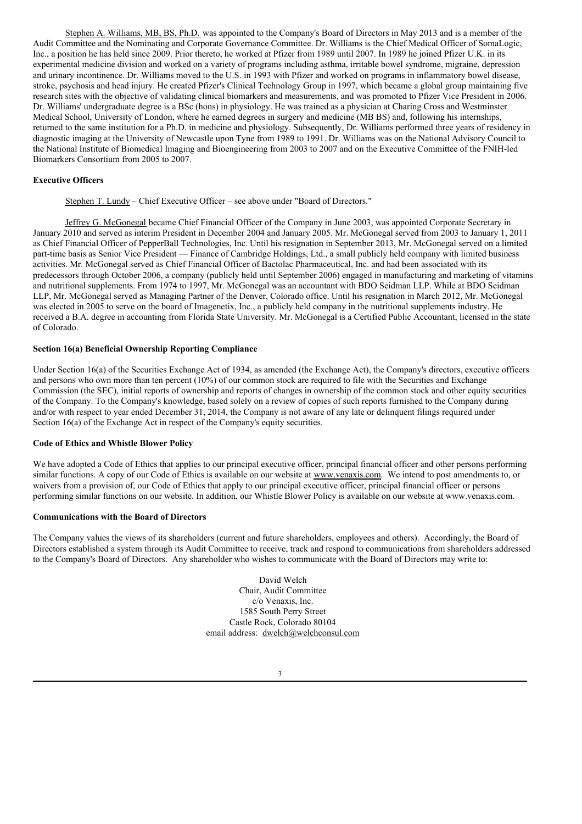Stephen A. Williams, MB, BS, Ph.D. was appointed to the Company's Board of Directors in May 2013 and is a member of the Audit Committee and the Nominating and Corporate Governance Committee. Dr. Williams is the Chief Medical Officer of SomaLogic, Inc., a position he has held since 2009. Prior thereto, he worked at Pfizer from 1989 until 2007. In 1989 he joined Pfizer U.K. in its experimental medicine division and worked on a variety of programs including asthma, irritable bowel syndrome, migraine, depression and urinary incontinence. Dr. Williams moved to the U.S. in 1993 with Pfizer and worked on programs in inflammatory bowel disease, stroke, psychosis and head injury. He created Pfizer's Clinical Technology Group in 1997, which became a global group maintaining five research sites with the objective of validating clinical biomarkers and measurements, and was promoted to Pfizer Vice President in 2006. Dr. Williams' undergraduate degree is a BSc (hons) in physiology. He was trained as a physician at Charing Cross and Westminster Medical School, University of London, where he earned degrees in surgery and medicine (MB BS) and, following his internships, returned to the same institution for a Ph.D. in medicine and physiology. Subsequently, Dr. Williams performed three years of residency in diagnostic imaging at the University of Newcastle upon Tyne from 1989 to 1991. Dr. Williams was on the National Advisory Council to the National Institute of Biomedical Imaging and Bioengineering from 2003 to 2007 and on the Executive Committee of the FNIH-led Biomarkers Consortium from 2005 to 2007.

## **Executive Officers**

Stephen T. Lundy – Chief Executive Officer – see above under "Board of Directors."

Jeffrey G. McGonegal became Chief Financial Officer of the Company in June 2003, was appointed Corporate Secretary in January 2010 and served as interim President in December 2004 and January 2005. Mr. McGonegal served from 2003 to January 1, 2011 as Chief Financial Officer of PepperBall Technologies, Inc. Until his resignation in September 2013, Mr. McGonegal served on a limited part-time basis as Senior Vice President — Finance of Cambridge Holdings, Ltd., a small publicly held company with limited business activities. Mr. McGonegal served as Chief Financial Officer of Bactolac Pharmaceutical, Inc. and had been associated with its predecessors through October 2006, a company (publicly held until September 2006) engaged in manufacturing and marketing of vitamins and nutritional supplements. From 1974 to 1997, Mr. McGonegal was an accountant with BDO Seidman LLP. While at BDO Seidman LLP, Mr. McGonegal served as Managing Partner of the Denver, Colorado office. Until his resignation in March 2012, Mr. McGonegal was elected in 2005 to serve on the board of Imagenetix, Inc., a publicly held company in the nutritional supplements industry. He received a B.A. degree in accounting from Florida State University. Mr. McGonegal is a Certified Public Accountant, licensed in the state of Colorado.

## **Section 16(a) Beneficial Ownership Reporting Compliance**

Under Section 16(a) of the Securities Exchange Act of 1934, as amended (the Exchange Act), the Company's directors, executive officers and persons who own more than ten percent (10%) of our common stock are required to file with the Securities and Exchange Commission (the SEC), initial reports of ownership and reports of changes in ownership of the common stock and other equity securities of the Company. To the Company's knowledge, based solely on a review of copies of such reports furnished to the Company during and/or with respect to year ended December 31, 2014, the Company is not aware of any late or delinquent filings required under Section 16(a) of the Exchange Act in respect of the Company's equity securities.

## **Code of Ethics and Whistle Blower Policy**

We have adopted a Code of Ethics that applies to our principal executive officer, principal financial officer and other persons performing similar functions. A copy of our Code of Ethics is available on our website at www.venaxis.com. We intend to post amendments to, or waivers from a provision of, our Code of Ethics that apply to our principal executive officer, principal financial officer or persons performing similar functions on our website. In addition, our Whistle Blower Policy is available on our website at www.venaxis.com.

## **Communications with the Board of Directors**

The Company values the views of its shareholders (current and future shareholders, employees and others). Accordingly, the Board of Directors established a system through its Audit Committee to receive, track and respond to communications from shareholders addressed to the Company's Board of Directors. Any shareholder who wishes to communicate with the Board of Directors may write to:

> David Welch Chair, Audit Committee c/o Venaxis, Inc. 1585 South Perry Street Castle Rock, Colorado 80104 email address: dwelch@welchconsul.com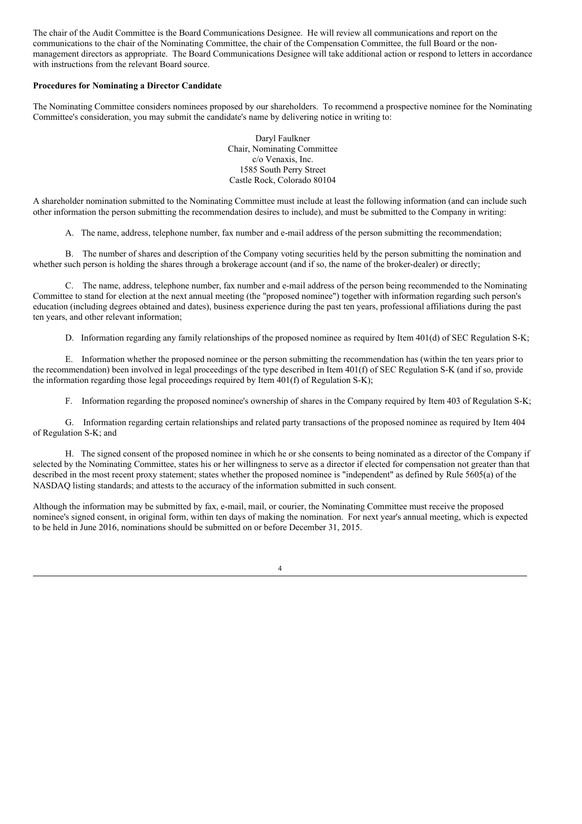The chair of the Audit Committee is the Board Communications Designee. He will review all communications and report on the communications to the chair of the Nominating Committee, the chair of the Compensation Committee, the full Board or the nonmanagement directors as appropriate. The Board Communications Designee will take additional action or respond to letters in accordance with instructions from the relevant Board source.

### **Procedures for Nominating a Director Candidate**

The Nominating Committee considers nominees proposed by our shareholders. To recommend a prospective nominee for the Nominating Committee's consideration, you may submit the candidate's name by delivering notice in writing to:

> Daryl Faulkner Chair, Nominating Committee c/o Venaxis, Inc. 1585 South Perry Street Castle Rock, Colorado 80104

A shareholder nomination submitted to the Nominating Committee must include at least the following information (and can include such other information the person submitting the recommendation desires to include), and must be submitted to the Company in writing:

A. The name, address, telephone number, fax number and e-mail address of the person submitting the recommendation;

B. The number of shares and description of the Company voting securities held by the person submitting the nomination and whether such person is holding the shares through a brokerage account (and if so, the name of the broker-dealer) or directly;

C. The name, address, telephone number, fax number and e-mail address of the person being recommended to the Nominating Committee to stand for election at the next annual meeting (the "proposed nominee") together with information regarding such person's education (including degrees obtained and dates), business experience during the past ten years, professional affiliations during the past ten years, and other relevant information;

D. Information regarding any family relationships of the proposed nominee as required by Item 401(d) of SEC Regulation S-K;

E. Information whether the proposed nominee or the person submitting the recommendation has (within the ten years prior to the recommendation) been involved in legal proceedings of the type described in Item 401(f) of SEC Regulation S-K (and if so, provide the information regarding those legal proceedings required by Item 401(f) of Regulation S-K);

F. Information regarding the proposed nominee's ownership of shares in the Company required by Item 403 of Regulation S-K;

G. Information regarding certain relationships and related party transactions of the proposed nominee as required by Item 404 of Regulation S-K; and

H. The signed consent of the proposed nominee in which he or she consents to being nominated as a director of the Company if selected by the Nominating Committee, states his or her willingness to serve as a director if elected for compensation not greater than that described in the most recent proxy statement; states whether the proposed nominee is "independent" as defined by Rule 5605(a) of the NASDAQ listing standards; and attests to the accuracy of the information submitted in such consent.

Although the information may be submitted by fax, e-mail, mail, or courier, the Nominating Committee must receive the proposed nominee's signed consent, in original form, within ten days of making the nomination. For next year's annual meeting, which is expected to be held in June 2016, nominations should be submitted on or before December 31, 2015.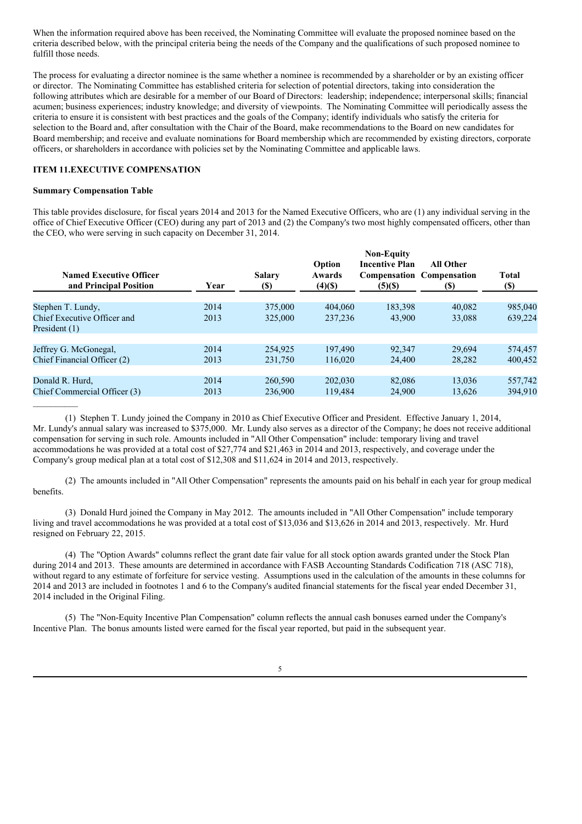When the information required above has been received, the Nominating Committee will evaluate the proposed nominee based on the criteria described below, with the principal criteria being the needs of the Company and the qualifications of such proposed nominee to fulfill those needs.

The process for evaluating a director nominee is the same whether a nominee is recommended by a shareholder or by an existing officer or director. The Nominating Committee has established criteria for selection of potential directors, taking into consideration the following attributes which are desirable for a member of our Board of Directors: leadership; independence; interpersonal skills; financial acumen; business experiences; industry knowledge; and diversity of viewpoints. The Nominating Committee will periodically assess the criteria to ensure it is consistent with best practices and the goals of the Company; identify individuals who satisfy the criteria for selection to the Board and, after consultation with the Chair of the Board, make recommendations to the Board on new candidates for Board membership; and receive and evaluate nominations for Board membership which are recommended by existing directors, corporate officers, or shareholders in accordance with policies set by the Nominating Committee and applicable laws.

## **ITEM 11.EXECUTIVE COMPENSATION**

### **Summary Compensation Table**

This table provides disclosure, for fiscal years 2014 and 2013 for the Named Executive Officers, who are (1) any individual serving in the office of Chief Executive Officer (CEO) during any part of 2013 and (2) the Company's two most highly compensated officers, other than the CEO, who were serving in such capacity on December 31, 2014.

| <b>Named Executive Officer</b><br>and Principal Position          | Year         | <b>Salary</b><br>(S) | Option<br>Awards<br>$(4)(\$)$ | <b>Non-Equity</b><br><b>Incentive Plan</b><br>$(5)(\$)$ | <b>All Other</b><br><b>Compensation Compensation</b><br>(S) | <b>Total</b><br><b>(\$)</b> |
|-------------------------------------------------------------------|--------------|----------------------|-------------------------------|---------------------------------------------------------|-------------------------------------------------------------|-----------------------------|
| Stephen T. Lundy,<br>Chief Executive Officer and<br>President (1) | 2014<br>2013 | 375,000<br>325,000   | 404,060<br>237,236            | 183.398<br>43,900                                       | 40,082<br>33,088                                            | 985,040<br>639,224          |
| Jeffrey G. McGonegal,                                             | 2014         | 254,925              | 197.490                       | 92.347                                                  | 29.694                                                      | 574,457                     |
| Chief Financial Officer (2)                                       | 2013         | 231,750              | 116,020                       | 24,400                                                  | 28,282                                                      | 400,452                     |
| Donald R. Hurd.                                                   | 2014         | 260,590              | 202,030                       | 82,086                                                  | 13.036                                                      | 557,742                     |
| Chief Commercial Officer (3)                                      | 2013         | 236,900              | 119.484                       | 24,900                                                  | 13.626                                                      | 394,910                     |

(1) Stephen T. Lundy joined the Company in 2010 as Chief Executive Officer and President. Effective January 1, 2014, Mr. Lundy's annual salary was increased to \$375,000. Mr. Lundy also serves as a director of the Company; he does not receive additional compensation for serving in such role. Amounts included in "All Other Compensation" include: temporary living and travel accommodations he was provided at a total cost of \$27,774 and \$21,463 in 2014 and 2013, respectively, and coverage under the Company's group medical plan at a total cost of \$12,308 and \$11,624 in 2014 and 2013, respectively.

(2) The amounts included in "All Other Compensation" represents the amounts paid on his behalf in each year for group medical benefits.

(3) Donald Hurd joined the Company in May 2012. The amounts included in "All Other Compensation" include temporary living and travel accommodations he was provided at a total cost of \$13,036 and \$13,626 in 2014 and 2013, respectively. Mr. Hurd resigned on February 22, 2015.

(4) The "Option Awards" columns reflect the grant date fair value for all stock option awards granted under the Stock Plan during 2014 and 2013. These amounts are determined in accordance with FASB Accounting Standards Codification 718 (ASC 718), without regard to any estimate of forfeiture for service vesting. Assumptions used in the calculation of the amounts in these columns for 2014 and 2013 are included in footnotes 1 and 6 to the Company's audited financial statements for the fiscal year ended December 31, 2014 included in the Original Filing.

(5) The "Non-Equity Incentive Plan Compensation" column reflects the annual cash bonuses earned under the Company's Incentive Plan. The bonus amounts listed were earned for the fiscal year reported, but paid in the subsequent year.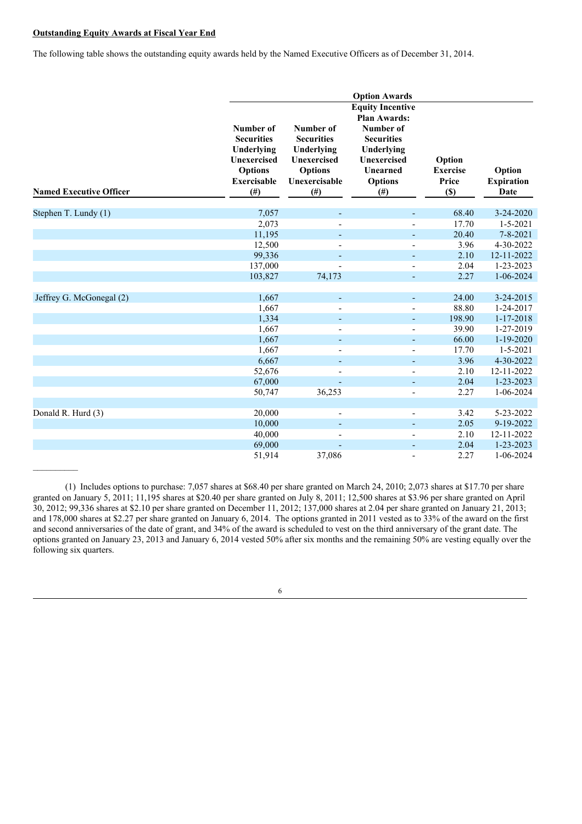## **Outstanding Equity Awards at Fiscal Year End**

The following table shows the outstanding equity awards held by the Named Executive Officers as of December 31, 2014.

| <b>Named Executive Officer</b> | Number of<br><b>Securities</b><br>Underlying<br><b>Unexercised</b><br><b>Options</b><br><b>Exercisable</b><br>$($ # $)$ | Number of<br><b>Securities</b><br>Underlying<br><b>Unexercised</b><br><b>Options</b><br>Unexercisable<br>$($ #) | <b>Option Awards</b><br><b>Equity Incentive</b><br><b>Plan Awards:</b><br>Number of<br><b>Securities</b><br>Underlying<br><b>Unexercised</b><br><b>Unearned</b><br><b>Options</b><br>#) | Option<br><b>Exercise</b><br>Price<br>$($ \$ $)$ | Option<br><b>Expiration</b><br>Date |
|--------------------------------|-------------------------------------------------------------------------------------------------------------------------|-----------------------------------------------------------------------------------------------------------------|-----------------------------------------------------------------------------------------------------------------------------------------------------------------------------------------|--------------------------------------------------|-------------------------------------|
| Stephen T. Lundy (1)           | 7,057                                                                                                                   | $\overline{\phantom{a}}$                                                                                        | $\overline{\phantom{a}}$                                                                                                                                                                | 68.40                                            | 3-24-2020                           |
|                                | 2,073                                                                                                                   | $\overline{\phantom{a}}$                                                                                        | $\overline{a}$                                                                                                                                                                          | 17.70                                            | $1 - 5 - 2021$                      |
|                                | 11,195                                                                                                                  |                                                                                                                 | $\overline{\phantom{a}}$                                                                                                                                                                | 20.40                                            | $7 - 8 - 2021$                      |
|                                | 12,500                                                                                                                  |                                                                                                                 | $\overline{a}$                                                                                                                                                                          | 3.96                                             | 4-30-2022                           |
|                                | 99,336                                                                                                                  | ٠                                                                                                               | $\overline{\phantom{a}}$                                                                                                                                                                | 2.10                                             | 12-11-2022                          |
|                                | 137,000                                                                                                                 |                                                                                                                 | $\overline{\phantom{a}}$                                                                                                                                                                | 2.04                                             | 1-23-2023                           |
|                                | 103,827                                                                                                                 | 74,173                                                                                                          | $\overline{\phantom{a}}$                                                                                                                                                                | 2.27                                             | $1 - 06 - 2024$                     |
| Jeffrey G. McGonegal (2)       | 1,667                                                                                                                   |                                                                                                                 |                                                                                                                                                                                         | 24.00                                            | 3-24-2015                           |
|                                | 1,667                                                                                                                   |                                                                                                                 | $\overline{a}$                                                                                                                                                                          | 88.80                                            | 1-24-2017                           |
|                                | 1,334                                                                                                                   | $\blacksquare$                                                                                                  | $\overline{\phantom{a}}$                                                                                                                                                                | 198.90                                           | $1 - 17 - 2018$                     |
|                                | 1,667                                                                                                                   | $\overline{a}$                                                                                                  | $\overline{\phantom{a}}$                                                                                                                                                                | 39.90                                            | 1-27-2019                           |
|                                | 1,667                                                                                                                   |                                                                                                                 | $\overline{a}$                                                                                                                                                                          | 66.00                                            | 1-19-2020                           |
|                                | 1,667                                                                                                                   | $\overline{\phantom{a}}$                                                                                        | $\overline{\phantom{a}}$                                                                                                                                                                | 17.70                                            | $1 - 5 - 2021$                      |
|                                | 6,667                                                                                                                   | ٠                                                                                                               | $\overline{\phantom{a}}$                                                                                                                                                                | 3.96                                             | 4-30-2022                           |
|                                | 52,676                                                                                                                  |                                                                                                                 | $\overline{\phantom{a}}$                                                                                                                                                                | 2.10                                             | 12-11-2022                          |
|                                | 67,000                                                                                                                  |                                                                                                                 | $\overline{\phantom{a}}$                                                                                                                                                                | 2.04                                             | 1-23-2023                           |
|                                | 50,747                                                                                                                  | 36,253                                                                                                          |                                                                                                                                                                                         | 2.27                                             | $1 - 06 - 2024$                     |
| Donald R. Hurd (3)             | 20,000                                                                                                                  | $\overline{a}$                                                                                                  | $\overline{a}$                                                                                                                                                                          | 3.42                                             | 5-23-2022                           |
|                                | 10,000                                                                                                                  | $\overline{\phantom{a}}$                                                                                        | $\overline{\phantom{a}}$                                                                                                                                                                | 2.05                                             | 9-19-2022                           |
|                                | 40,000                                                                                                                  | $\overline{\phantom{a}}$                                                                                        | $\overline{a}$                                                                                                                                                                          | 2.10                                             | 12-11-2022                          |
|                                | 69,000                                                                                                                  |                                                                                                                 |                                                                                                                                                                                         | 2.04                                             | $1 - 23 - 2023$                     |
|                                | 51,914                                                                                                                  | 37,086                                                                                                          | $\overline{\phantom{0}}$                                                                                                                                                                | 2.27                                             | 1-06-2024                           |

(1) Includes options to purchase: 7,057 shares at \$68.40 per share granted on March 24, 2010; 2,073 shares at \$17.70 per share granted on January 5, 2011; 11,195 shares at \$20.40 per share granted on July 8, 2011; 12,500 shares at \$3.96 per share granted on April 30, 2012; 99,336 shares at \$2.10 per share granted on December 11, 2012; 137,000 shares at 2.04 per share granted on January 21, 2013; and 178,000 shares at \$2.27 per share granted on January 6, 2014. The options granted in 2011 vested as to 33% of the award on the first and second anniversaries of the date of grant, and 34% of the award is scheduled to vest on the third anniversary of the grant date. The options granted on January 23, 2013 and January 6, 2014 vested 50% after six months and the remaining 50% are vesting equally over the following six quarters.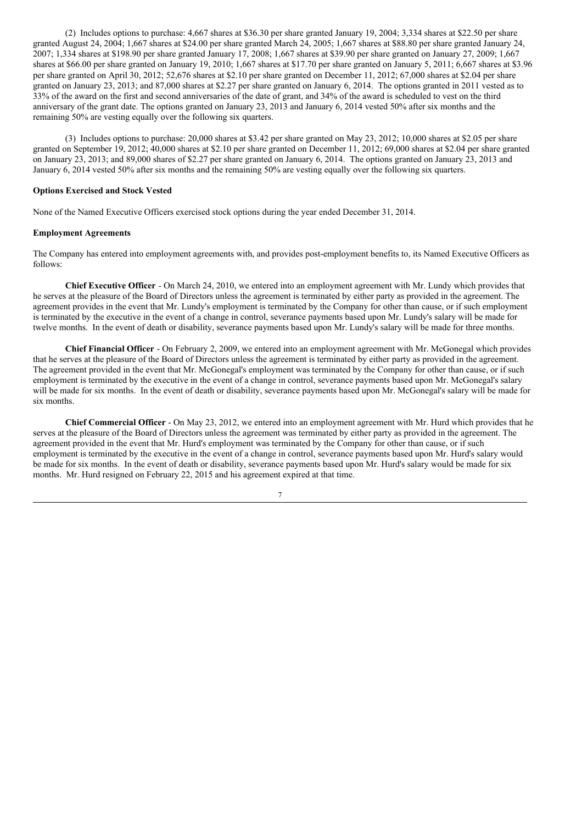(2) Includes options to purchase: 4,667 shares at \$36.30 per share granted January 19, 2004; 3,334 shares at \$22.50 per share granted August 24, 2004; 1,667 shares at \$24.00 per share granted March 24, 2005; 1,667 shares at \$88.80 per share granted January 24, 2007; 1,334 shares at \$198.90 per share granted January 17, 2008; 1,667 shares at \$39.90 per share granted on January 27, 2009; 1,667 shares at \$66.00 per share granted on January 19, 2010; 1,667 shares at \$17.70 per share granted on January 5, 2011; 6,667 shares at \$3.96 per share granted on April 30, 2012; 52,676 shares at \$2.10 per share granted on December 11, 2012; 67,000 shares at \$2.04 per share granted on January 23, 2013; and 87,000 shares at \$2.27 per share granted on January 6, 2014. The options granted in 2011 vested as to 33% of the award on the first and second anniversaries of the date of grant, and 34% of the award is scheduled to vest on the third anniversary of the grant date. The options granted on January 23, 2013 and January 6, 2014 vested 50% after six months and the remaining 50% are vesting equally over the following six quarters.

(3) Includes options to purchase: 20,000 shares at \$3.42 per share granted on May 23, 2012; 10,000 shares at \$2.05 per share granted on September 19, 2012; 40,000 shares at \$2.10 per share granted on December 11, 2012; 69,000 shares at \$2.04 per share granted on January 23, 2013; and 89,000 shares of \$2.27 per share granted on January 6, 2014. The options granted on January 23, 2013 and January 6, 2014 vested 50% after six months and the remaining 50% are vesting equally over the following six quarters.

## **Options Exercised and Stock Vested**

None of the Named Executive Officers exercised stock options during the year ended December 31, 2014.

## **Employment Agreements**

The Company has entered into employment agreements with, and provides post-employment benefits to, its Named Executive Officers as follows:

**Chief Executive Officer** *-* On March 24, 2010, we entered into an employment agreement with Mr. Lundy which provides that he serves at the pleasure of the Board of Directors unless the agreement is terminated by either party as provided in the agreement. The agreement provides in the event that Mr. Lundy's employment is terminated by the Company for other than cause, or if such employment is terminated by the executive in the event of a change in control, severance payments based upon Mr. Lundy's salary will be made for twelve months. In the event of death or disability, severance payments based upon Mr. Lundy's salary will be made for three months.

**Chief Financial Officer** - On February 2, 2009, we entered into an employment agreement with Mr. McGonegal which provides that he serves at the pleasure of the Board of Directors unless the agreement is terminated by either party as provided in the agreement. The agreement provided in the event that Mr. McGonegal's employment was terminated by the Company for other than cause, or if such employment is terminated by the executive in the event of a change in control, severance payments based upon Mr. McGonegal's salary will be made for six months. In the event of death or disability, severance payments based upon Mr. McGonegal's salary will be made for six months.

**Chief Commercial Officer** - On May 23, 2012, we entered into an employment agreement with Mr. Hurd which provides that he serves at the pleasure of the Board of Directors unless the agreement was terminated by either party as provided in the agreement. The agreement provided in the event that Mr. Hurd's employment was terminated by the Company for other than cause, or if such employment is terminated by the executive in the event of a change in control, severance payments based upon Mr. Hurd's salary would be made for six months. In the event of death or disability, severance payments based upon Mr. Hurd's salary would be made for six months. Mr. Hurd resigned on February 22, 2015 and his agreement expired at that time.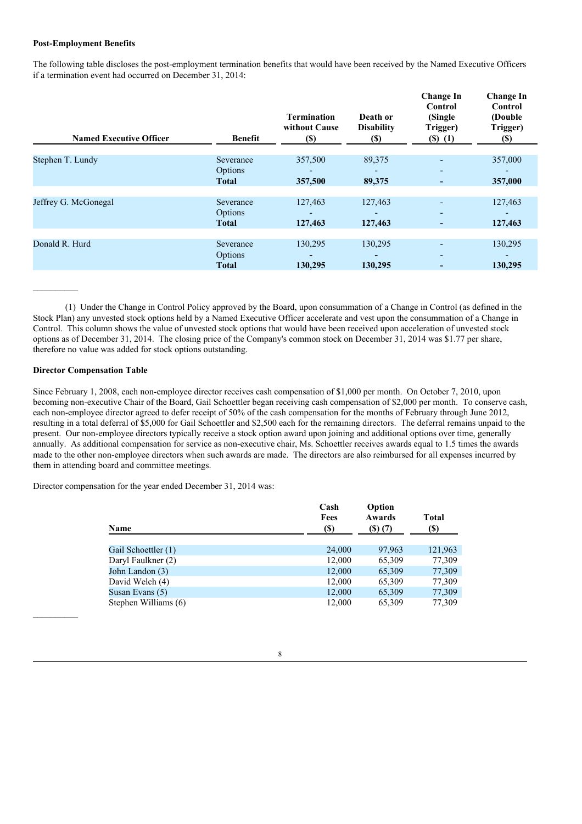#### **Post-Employment Benefits**

The following table discloses the post-employment termination benefits that would have been received by the Named Executive Officers if a termination event had occurred on December 31, 2014:

| <b>Named Executive Officer</b> | <b>Benefit</b> | <b>Termination</b><br>without Cause<br>$\left( \mathbb{S}\right)$ | Death or<br><b>Disability</b><br>(\$) | <b>Change In</b><br>Control<br>(Single<br>Trigger)<br>$(5)$ $(1)$ | Change In<br>Control<br>(Double)<br>Trigger)<br>$(\$)$ |
|--------------------------------|----------------|-------------------------------------------------------------------|---------------------------------------|-------------------------------------------------------------------|--------------------------------------------------------|
|                                |                |                                                                   |                                       |                                                                   |                                                        |
| Stephen T. Lundy               | Severance      | 357,500                                                           | 89,375                                | $\qquad \qquad \blacksquare$                                      | 357,000                                                |
|                                | Options        |                                                                   |                                       | -                                                                 |                                                        |
|                                | <b>Total</b>   | 357,500                                                           | 89,375                                | ٠                                                                 | 357,000                                                |
|                                |                |                                                                   |                                       |                                                                   |                                                        |
| Jeffrey G. McGonegal           | Severance      | 127,463                                                           | 127,463                               | $\qquad \qquad \blacksquare$                                      | 127,463                                                |
|                                | Options        | $\overline{\phantom{0}}$                                          |                                       | $\overline{\phantom{0}}$                                          |                                                        |
|                                | <b>Total</b>   | 127,463                                                           | 127,463                               | ۰                                                                 | 127,463                                                |
|                                |                |                                                                   |                                       |                                                                   |                                                        |
| Donald R. Hurd                 | Severance      | 130,295                                                           | 130,295                               | -                                                                 | 130,295                                                |
|                                | Options        |                                                                   |                                       | $\qquad \qquad \blacksquare$                                      |                                                        |
|                                | <b>Total</b>   | 130,295                                                           | 130,295                               | ٠                                                                 | 130,295                                                |
|                                |                |                                                                   |                                       |                                                                   |                                                        |

(1) Under the Change in Control Policy approved by the Board, upon consummation of a Change in Control (as defined in the Stock Plan) any unvested stock options held by a Named Executive Officer accelerate and vest upon the consummation of a Change in Control. This column shows the value of unvested stock options that would have been received upon acceleration of unvested stock options as of December 31, 2014. The closing price of the Company's common stock on December 31, 2014 was \$1.77 per share, therefore no value was added for stock options outstanding.

### **Director Compensation Table**

 $\frac{1}{2}$  ,  $\frac{1}{2}$  ,  $\frac{1}{2}$  ,  $\frac{1}{2}$  ,  $\frac{1}{2}$ 

Since February 1, 2008, each non-employee director receives cash compensation of \$1,000 per month. On October 7, 2010, upon becoming non-executive Chair of the Board, Gail Schoettler began receiving cash compensation of \$2,000 per month. To conserve cash, each non-employee director agreed to defer receipt of 50% of the cash compensation for the months of February through June 2012, resulting in a total deferral of \$5,000 for Gail Schoettler and \$2,500 each for the remaining directors. The deferral remains unpaid to the present. Our non-employee directors typically receive a stock option award upon joining and additional options over time, generally annually. As additional compensation for service as non-executive chair, Ms. Schoettler receives awards equal to 1.5 times the awards made to the other non-employee directors when such awards are made. The directors are also reimbursed for all expenses incurred by them in attending board and committee meetings.

Director compensation for the year ended December 31, 2014 was:

| Name                 | Cash<br>Fees<br><b>(\$)</b> | Option<br>Awards<br>$($ S) $(7)$ | Total<br><b>(\$)</b> |
|----------------------|-----------------------------|----------------------------------|----------------------|
| Gail Schoettler (1)  | 24,000                      | 97.963                           | 121,963              |
| Daryl Faulkner (2)   | 12,000                      | 65,309                           | 77,309               |
| John Landon (3)      | 12,000                      | 65,309                           | 77,309               |
| David Welch (4)      | 12,000                      | 65,309                           | 77,309               |
| Susan Evans (5)      | 12,000                      | 65,309                           | 77,309               |
| Stephen Williams (6) | 12,000                      | 65,309                           | 77,309               |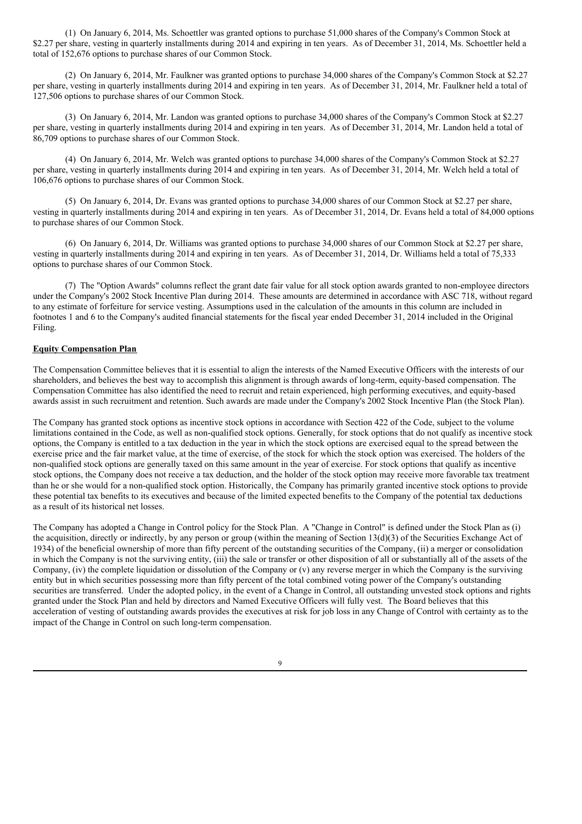(1) On January 6, 2014, Ms. Schoettler was granted options to purchase 51,000 shares of the Company's Common Stock at \$2.27 per share, vesting in quarterly installments during 2014 and expiring in ten years. As of December 31, 2014, Ms. Schoettler held a total of 152,676 options to purchase shares of our Common Stock.

(2) On January 6, 2014, Mr. Faulkner was granted options to purchase 34,000 shares of the Company's Common Stock at \$2.27 per share, vesting in quarterly installments during 2014 and expiring in ten years. As of December 31, 2014, Mr. Faulkner held a total of 127,506 options to purchase shares of our Common Stock.

(3) On January 6, 2014, Mr. Landon was granted options to purchase 34,000 shares of the Company's Common Stock at \$2.27 per share, vesting in quarterly installments during 2014 and expiring in ten years. As of December 31, 2014, Mr. Landon held a total of 86,709 options to purchase shares of our Common Stock.

(4) On January 6, 2014, Mr. Welch was granted options to purchase 34,000 shares of the Company's Common Stock at \$2.27 per share, vesting in quarterly installments during 2014 and expiring in ten years. As of December 31, 2014, Mr. Welch held a total of 106,676 options to purchase shares of our Common Stock.

(5) On January 6, 2014, Dr. Evans was granted options to purchase 34,000 shares of our Common Stock at \$2.27 per share, vesting in quarterly installments during 2014 and expiring in ten years. As of December 31, 2014, Dr. Evans held a total of 84,000 options to purchase shares of our Common Stock.

(6) On January 6, 2014, Dr. Williams was granted options to purchase 34,000 shares of our Common Stock at \$2.27 per share, vesting in quarterly installments during 2014 and expiring in ten years. As of December 31, 2014, Dr. Williams held a total of 75,333 options to purchase shares of our Common Stock.

(7) The "Option Awards" columns reflect the grant date fair value for all stock option awards granted to non-employee directors under the Company's 2002 Stock Incentive Plan during 2014. These amounts are determined in accordance with ASC 718, without regard to any estimate of forfeiture for service vesting. Assumptions used in the calculation of the amounts in this column are included in footnotes 1 and 6 to the Company's audited financial statements for the fiscal year ended December 31, 2014 included in the Original Filing.

# **Equity Compensation Plan**

The Compensation Committee believes that it is essential to align the interests of the Named Executive Officers with the interests of our shareholders, and believes the best way to accomplish this alignment is through awards of long-term, equity-based compensation. The Compensation Committee has also identified the need to recruit and retain experienced, high performing executives, and equity-based awards assist in such recruitment and retention. Such awards are made under the Company's 2002 Stock Incentive Plan (the Stock Plan).

The Company has granted stock options as incentive stock options in accordance with Section 422 of the Code, subject to the volume limitations contained in the Code, as well as non-qualified stock options. Generally, for stock options that do not qualify as incentive stock options, the Company is entitled to a tax deduction in the year in which the stock options are exercised equal to the spread between the exercise price and the fair market value, at the time of exercise, of the stock for which the stock option was exercised. The holders of the non-qualified stock options are generally taxed on this same amount in the year of exercise. For stock options that qualify as incentive stock options, the Company does not receive a tax deduction, and the holder of the stock option may receive more favorable tax treatment than he or she would for a non-qualified stock option. Historically, the Company has primarily granted incentive stock options to provide these potential tax benefits to its executives and because of the limited expected benefits to the Company of the potential tax deductions as a result of its historical net losses.

The Company has adopted a Change in Control policy for the Stock Plan. A "Change in Control" is defined under the Stock Plan as (i) the acquisition, directly or indirectly, by any person or group (within the meaning of Section 13(d)(3) of the Securities Exchange Act of 1934) of the beneficial ownership of more than fifty percent of the outstanding securities of the Company, (ii) a merger or consolidation in which the Company is not the surviving entity, (iii) the sale or transfer or other disposition of all or substantially all of the assets of the Company, (iv) the complete liquidation or dissolution of the Company or (v) any reverse merger in which the Company is the surviving entity but in which securities possessing more than fifty percent of the total combined voting power of the Company's outstanding securities are transferred. Under the adopted policy, in the event of a Change in Control, all outstanding unvested stock options and rights granted under the Stock Plan and held by directors and Named Executive Officers will fully vest. The Board believes that this acceleration of vesting of outstanding awards provides the executives at risk for job loss in any Change of Control with certainty as to the impact of the Change in Control on such long-term compensation.

 $\mathbf Q$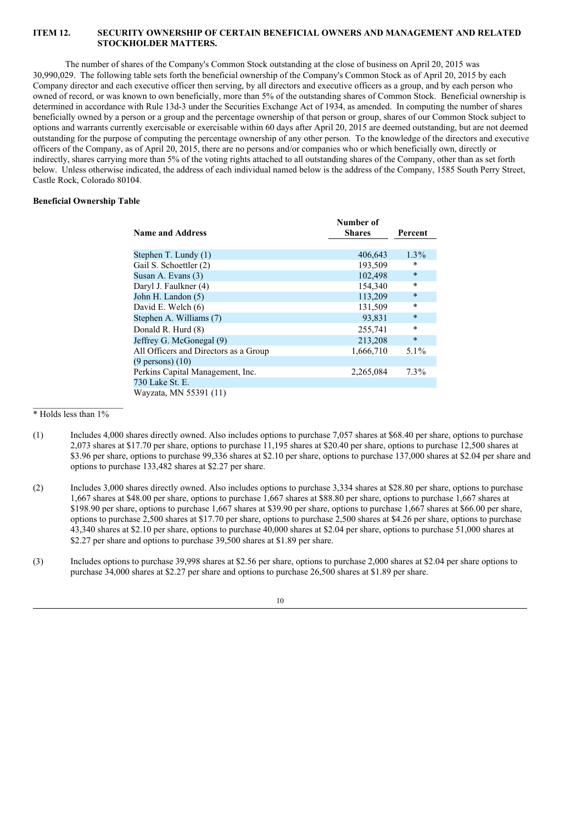## **ITEM 12. SECURITY OWNERSHIP OF CERTAIN BENEFICIAL OWNERS AND MANAGEMENT AND RELATED STOCKHOLDER MATTERS.**

The number of shares of the Company's Common Stock outstanding at the close of business on April 20, 2015 was 30,990,029. The following table sets forth the beneficial ownership of the Company's Common Stock as of April 20, 2015 by each Company director and each executive officer then serving, by all directors and executive officers as a group, and by each person who owned of record, or was known to own beneficially, more than 5% of the outstanding shares of Common Stock. Beneficial ownership is determined in accordance with Rule 13d-3 under the Securities Exchange Act of 1934, as amended. In computing the number of shares beneficially owned by a person or a group and the percentage ownership of that person or group, shares of our Common Stock subject to options and warrants currently exercisable or exercisable within 60 days after April 20, 2015 are deemed outstanding, but are not deemed outstanding for the purpose of computing the percentage ownership of any other person. To the knowledge of the directors and executive officers of the Company, as of April 20, 2015, there are no persons and/or companies who or which beneficially own, directly or indirectly, shares carrying more than 5% of the voting rights attached to all outstanding shares of the Company, other than as set forth below. Unless otherwise indicated, the address of each individual named below is the address of the Company, 1585 South Perry Street, Castle Rock, Colorado 80104.

## **Beneficial Ownership Table**

|                                       | Number of     |         |
|---------------------------------------|---------------|---------|
| <b>Name and Address</b>               | <b>Shares</b> | Percent |
|                                       |               |         |
| Stephen T. Lundy (1)                  | 406,643       | $1.3\%$ |
| Gail S. Schoettler (2)                | 193,509       | $\ast$  |
| Susan A. Evans (3)                    | 102,498       | $\ast$  |
| Daryl J. Faulkner (4)                 | 154,340       | $\ast$  |
| John H. Landon (5)                    | 113,209       | $\ast$  |
| David E. Welch (6)                    | 131,509       | $\ast$  |
| Stephen A. Williams (7)               | 93,831        | $\ast$  |
| Donald R. Hurd (8)                    | 255,741       | $\ast$  |
| Jeffrey G. McGonegal (9)              | 213,208       | $\ast$  |
| All Officers and Directors as a Group | 1,666,710     | $5.1\%$ |
| $(9$ persons) $(10)$                  |               |         |
| Perkins Capital Management, Inc.      | 2,265,084     | $7.3\%$ |
| 730 Lake St. E.                       |               |         |
| Wayzata, MN 55391 (11)                |               |         |

 $*$  Holds less than  $1\%$ 

- (1) Includes 4,000 shares directly owned. Also includes options to purchase 7,057 shares at \$68.40 per share, options to purchase 2,073 shares at \$17.70 per share, options to purchase 11,195 shares at \$20.40 per share, options to purchase 12,500 shares at \$3.96 per share, options to purchase 99,336 shares at \$2.10 per share, options to purchase 137,000 shares at \$2.04 per share and options to purchase 133,482 shares at \$2.27 per share.
- (2) Includes 3,000 shares directly owned. Also includes options to purchase 3,334 shares at \$28.80 per share, options to purchase 1,667 shares at \$48.00 per share, options to purchase 1,667 shares at \$88.80 per share, options to purchase 1,667 shares at \$198.90 per share, options to purchase 1,667 shares at \$39.90 per share, options to purchase 1,667 shares at \$66.00 per share, options to purchase 2,500 shares at \$17.70 per share, options to purchase 2,500 shares at \$4.26 per share, options to purchase 43,340 shares at \$2.10 per share, options to purchase 40,000 shares at \$2.04 per share, options to purchase 51,000 shares at \$2.27 per share and options to purchase 39,500 shares at \$1.89 per share.
- (3) Includes options to purchase 39,998 shares at \$2.56 per share, options to purchase 2,000 shares at \$2.04 per share options to purchase 34,000 shares at \$2.27 per share and options to purchase 26,500 shares at \$1.89 per share.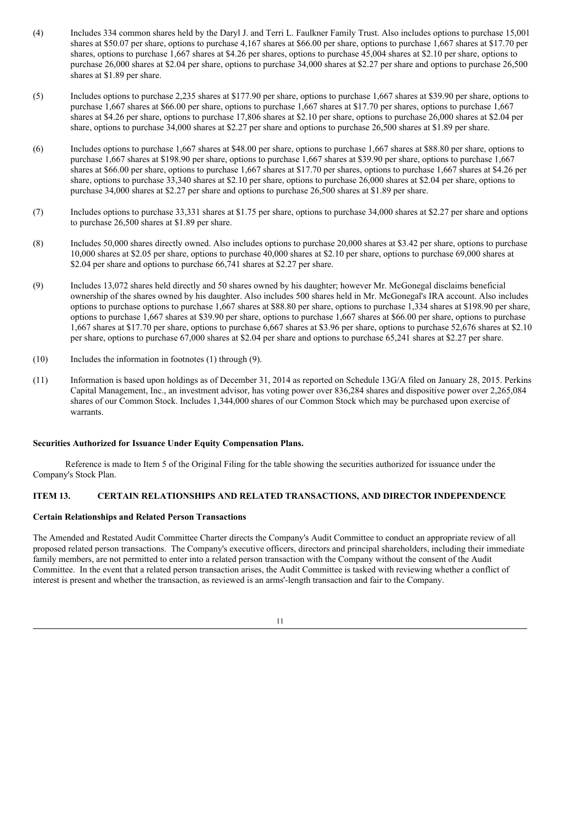- (4) Includes 334 common shares held by the Daryl J. and Terri L. Faulkner Family Trust. Also includes options to purchase 15,001 shares at \$50.07 per share, options to purchase 4,167 shares at \$66.00 per share, options to purchase 1,667 shares at \$17.70 per shares, options to purchase 1,667 shares at \$4.26 per shares, options to purchase 45,004 shares at \$2.10 per share, options to purchase 26,000 shares at \$2.04 per share, options to purchase 34,000 shares at \$2.27 per share and options to purchase 26,500 shares at \$1.89 per share.
- (5) Includes options to purchase 2,235 shares at \$177.90 per share, options to purchase 1,667 shares at \$39.90 per share, options to purchase 1,667 shares at \$66.00 per share, options to purchase 1,667 shares at \$17.70 per shares, options to purchase 1,667 shares at \$4.26 per share, options to purchase 17,806 shares at \$2.10 per share, options to purchase 26,000 shares at \$2.04 per share, options to purchase 34,000 shares at \$2.27 per share and options to purchase 26,500 shares at \$1.89 per share.
- (6) Includes options to purchase 1,667 shares at \$48.00 per share, options to purchase 1,667 shares at \$88.80 per share, options to purchase 1,667 shares at \$198.90 per share, options to purchase 1,667 shares at \$39.90 per share, options to purchase 1,667 shares at \$66.00 per share, options to purchase 1,667 shares at \$17.70 per shares, options to purchase 1,667 shares at \$4.26 per share, options to purchase 33,340 shares at \$2.10 per share, options to purchase 26,000 shares at \$2.04 per share, options to purchase 34,000 shares at \$2.27 per share and options to purchase 26,500 shares at \$1.89 per share.
- (7) Includes options to purchase 33,331 shares at \$1.75 per share, options to purchase 34,000 shares at \$2.27 per share and options to purchase 26,500 shares at \$1.89 per share.
- (8) Includes 50,000 shares directly owned. Also includes options to purchase 20,000 shares at \$3.42 per share, options to purchase 10,000 shares at \$2.05 per share, options to purchase 40,000 shares at \$2.10 per share, options to purchase 69,000 shares at \$2.04 per share and options to purchase 66,741 shares at \$2.27 per share.
- (9) Includes 13,072 shares held directly and 50 shares owned by his daughter; however Mr. McGonegal disclaims beneficial ownership of the shares owned by his daughter. Also includes 500 shares held in Mr. McGonegal's IRA account. Also includes options to purchase options to purchase 1,667 shares at \$88.80 per share, options to purchase 1,334 shares at \$198.90 per share, options to purchase 1,667 shares at \$39.90 per share, options to purchase 1,667 shares at \$66.00 per share, options to purchase 1,667 shares at \$17.70 per share, options to purchase 6,667 shares at \$3.96 per share, options to purchase 52,676 shares at \$2.10 per share, options to purchase 67,000 shares at \$2.04 per share and options to purchase 65,241 shares at \$2.27 per share.
- (10) Includes the information in footnotes (1) through (9).
- (11) Information is based upon holdings as of December 31, 2014 as reported on Schedule 13G/A filed on January 28, 2015. Perkins Capital Management, Inc., an investment advisor, has voting power over 836,284 shares and dispositive power over 2,265,084 shares of our Common Stock. Includes 1,344,000 shares of our Common Stock which may be purchased upon exercise of warrants.

## **Securities Authorized for Issuance Under Equity Compensation Plans.**

Reference is made to Item 5 of the Original Filing for the table showing the securities authorized for issuance under the Company's Stock Plan.

# **ITEM 13. CERTAIN RELATIONSHIPS AND RELATED TRANSACTIONS, AND DIRECTOR INDEPENDENCE**

### **Certain Relationships and Related Person Transactions**

The Amended and Restated Audit Committee Charter directs the Company's Audit Committee to conduct an appropriate review of all proposed related person transactions. The Company's executive officers, directors and principal shareholders, including their immediate family members, are not permitted to enter into a related person transaction with the Company without the consent of the Audit Committee. In the event that a related person transaction arises, the Audit Committee is tasked with reviewing whether a conflict of interest is present and whether the transaction, as reviewed is an arms'-length transaction and fair to the Company.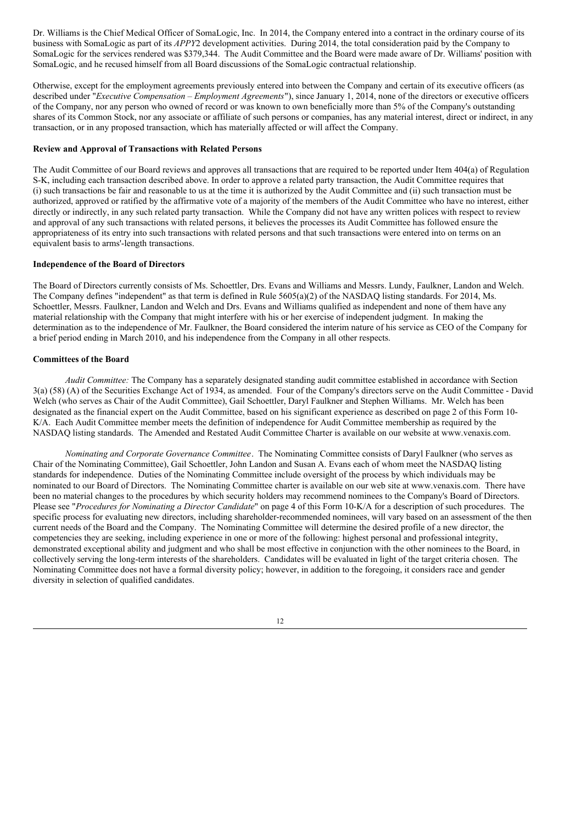Dr. Williams is the Chief Medical Officer of SomaLogic, Inc. In 2014, the Company entered into a contract in the ordinary course of its business with SomaLogic as part of its *APPY*2 development activities. During 2014, the total consideration paid by the Company to SomaLogic for the services rendered was \$379,344. The Audit Committee and the Board were made aware of Dr. Williams' position with SomaLogic, and he recused himself from all Board discussions of the SomaLogic contractual relationship.

Otherwise, except for the employment agreements previously entered into between the Company and certain of its executive officers (as described under "*Executive Compensation – Employment Agreements*"), since January 1, 2014, none of the directors or executive officers of the Company, nor any person who owned of record or was known to own beneficially more than 5% of the Company's outstanding shares of its Common Stock, nor any associate or affiliate of such persons or companies, has any material interest, direct or indirect, in any transaction, or in any proposed transaction, which has materially affected or will affect the Company.

### **Review and Approval of Transactions with Related Persons**

The Audit Committee of our Board reviews and approves all transactions that are required to be reported under Item 404(a) of Regulation S-K, including each transaction described above. In order to approve a related party transaction, the Audit Committee requires that (i) such transactions be fair and reasonable to us at the time it is authorized by the Audit Committee and (ii) such transaction must be authorized, approved or ratified by the affirmative vote of a majority of the members of the Audit Committee who have no interest, either directly or indirectly, in any such related party transaction. While the Company did not have any written polices with respect to review and approval of any such transactions with related persons, it believes the processes its Audit Committee has followed ensure the appropriateness of its entry into such transactions with related persons and that such transactions were entered into on terms on an equivalent basis to arms'-length transactions.

### **Independence of the Board of Directors**

The Board of Directors currently consists of Ms. Schoettler, Drs. Evans and Williams and Messrs. Lundy, Faulkner, Landon and Welch. The Company defines "independent" as that term is defined in Rule 5605(a)(2) of the NASDAQ listing standards. For 2014, Ms. Schoettler, Messrs. Faulkner, Landon and Welch and Drs. Evans and Williams qualified as independent and none of them have any material relationship with the Company that might interfere with his or her exercise of independent judgment. In making the determination as to the independence of Mr. Faulkner, the Board considered the interim nature of his service as CEO of the Company for a brief period ending in March 2010, and his independence from the Company in all other respects.

#### **Committees of the Board**

*Audit Committee:* The Company has a separately designated standing audit committee established in accordance with Section 3(a) (58) (A) of the Securities Exchange Act of 1934, as amended. Four of the Company's directors serve on the Audit Committee - David Welch (who serves as Chair of the Audit Committee), Gail Schoettler, Daryl Faulkner and Stephen Williams. Mr. Welch has been designated as the financial expert on the Audit Committee, based on his significant experience as described on page 2 of this Form 10- K/A. Each Audit Committee member meets the definition of independence for Audit Committee membership as required by the NASDAQ listing standards. The Amended and Restated Audit Committee Charter is available on our website at www.venaxis.com.

*Nominating and Corporate Governance Committee*. The Nominating Committee consists of Daryl Faulkner (who serves as Chair of the Nominating Committee), Gail Schoettler, John Landon and Susan A. Evans each of whom meet the NASDAQ listing standards for independence. Duties of the Nominating Committee include oversight of the process by which individuals may be nominated to our Board of Directors. The Nominating Committee charter is available on our web site at www.venaxis.com. There have been no material changes to the procedures by which security holders may recommend nominees to the Company's Board of Directors. Please see "*Procedures for Nominating a Director Candidate*" on page 4 of this Form 10-K/A for a description of such procedures. The specific process for evaluating new directors, including shareholder-recommended nominees, will vary based on an assessment of the then current needs of the Board and the Company. The Nominating Committee will determine the desired profile of a new director, the competencies they are seeking, including experience in one or more of the following: highest personal and professional integrity, demonstrated exceptional ability and judgment and who shall be most effective in conjunction with the other nominees to the Board, in collectively serving the long-term interests of the shareholders. Candidates will be evaluated in light of the target criteria chosen. The Nominating Committee does not have a formal diversity policy; however, in addition to the foregoing, it considers race and gender diversity in selection of qualified candidates.

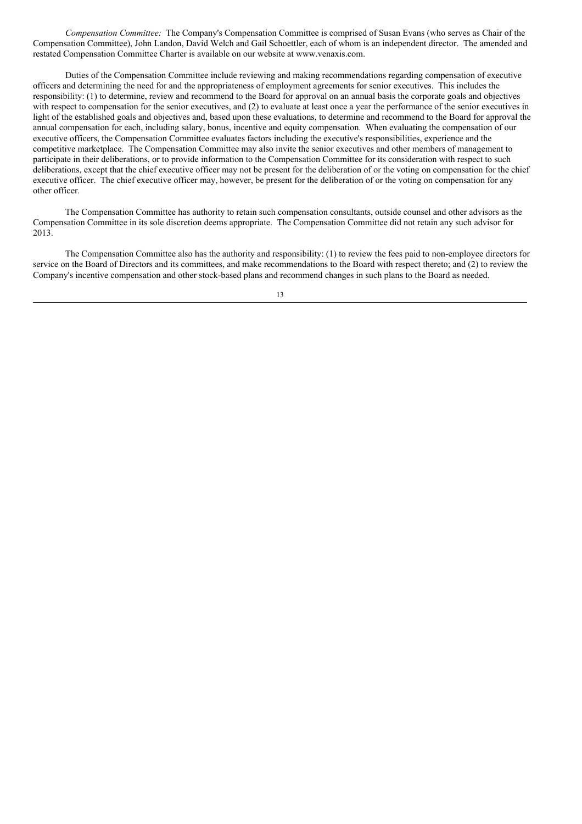*Compensation Committee:* The Company's Compensation Committee is comprised of Susan Evans (who serves as Chair of the Compensation Committee), John Landon, David Welch and Gail Schoettler, each of whom is an independent director. The amended and restated Compensation Committee Charter is available on our website at www.venaxis.com.

Duties of the Compensation Committee include reviewing and making recommendations regarding compensation of executive officers and determining the need for and the appropriateness of employment agreements for senior executives. This includes the responsibility: (1) to determine, review and recommend to the Board for approval on an annual basis the corporate goals and objectives with respect to compensation for the senior executives, and (2) to evaluate at least once a year the performance of the senior executives in light of the established goals and objectives and, based upon these evaluations, to determine and recommend to the Board for approval the annual compensation for each, including salary, bonus, incentive and equity compensation. When evaluating the compensation of our executive officers, the Compensation Committee evaluates factors including the executive's responsibilities, experience and the competitive marketplace. The Compensation Committee may also invite the senior executives and other members of management to participate in their deliberations, or to provide information to the Compensation Committee for its consideration with respect to such deliberations, except that the chief executive officer may not be present for the deliberation of or the voting on compensation for the chief executive officer. The chief executive officer may, however, be present for the deliberation of or the voting on compensation for any other officer.

The Compensation Committee has authority to retain such compensation consultants, outside counsel and other advisors as the Compensation Committee in its sole discretion deems appropriate. The Compensation Committee did not retain any such advisor for 2013.

The Compensation Committee also has the authority and responsibility: (1) to review the fees paid to non-employee directors for service on the Board of Directors and its committees, and make recommendations to the Board with respect thereto; and (2) to review the Company's incentive compensation and other stock-based plans and recommend changes in such plans to the Board as needed.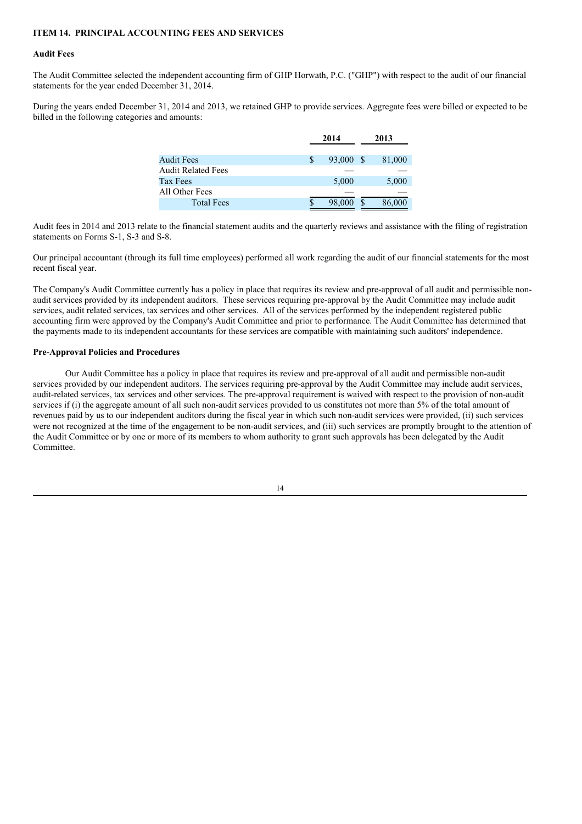## **ITEM 14. PRINCIPAL ACCOUNTING FEES AND SERVICES**

### **Audit Fees**

The Audit Committee selected the independent accounting firm of GHP Horwath, P.C. ("GHP") with respect to the audit of our financial statements for the year ended December 31, 2014.

During the years ended December 31, 2014 and 2013, we retained GHP to provide services. Aggregate fees were billed or expected to be billed in the following categories and amounts:

|                           | 2014 |        | 2013 |        |
|---------------------------|------|--------|------|--------|
| <b>Audit Fees</b>         | S    | 93,000 | - \$ | 81,000 |
| <b>Audit Related Fees</b> |      |        |      |        |
| Tax Fees                  |      | 5,000  |      | 5,000  |
| All Other Fees            |      |        |      |        |
| <b>Total Fees</b>         |      | 98,000 |      | 86,000 |

Audit fees in 2014 and 2013 relate to the financial statement audits and the quarterly reviews and assistance with the filing of registration statements on Forms S-1, S-3 and S-8.

Our principal accountant (through its full time employees) performed all work regarding the audit of our financial statements for the most recent fiscal year.

The Company's Audit Committee currently has a policy in place that requires its review and pre-approval of all audit and permissible nonaudit services provided by its independent auditors. These services requiring pre-approval by the Audit Committee may include audit services, audit related services, tax services and other services. All of the services performed by the independent registered public accounting firm were approved by the Company's Audit Committee and prior to performance. The Audit Committee has determined that the payments made to its independent accountants for these services are compatible with maintaining such auditors' independence.

### **Pre-Approval Policies and Procedures**

Our Audit Committee has a policy in place that requires its review and pre-approval of all audit and permissible non-audit services provided by our independent auditors. The services requiring pre-approval by the Audit Committee may include audit services, audit-related services, tax services and other services. The pre-approval requirement is waived with respect to the provision of non-audit services if (i) the aggregate amount of all such non-audit services provided to us constitutes not more than 5% of the total amount of revenues paid by us to our independent auditors during the fiscal year in which such non-audit services were provided, (ii) such services were not recognized at the time of the engagement to be non-audit services, and (iii) such services are promptly brought to the attention of the Audit Committee or by one or more of its members to whom authority to grant such approvals has been delegated by the Audit Committee.

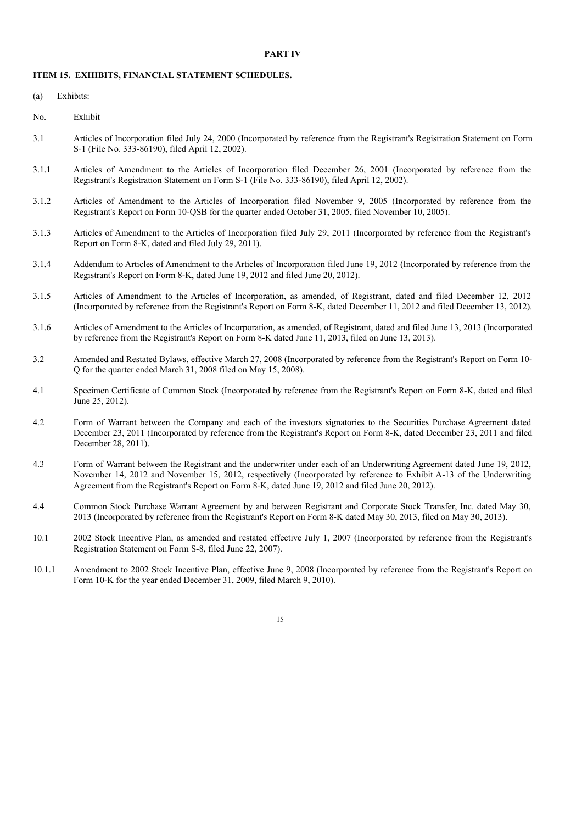#### **PART IV**

### **ITEM 15. EXHIBITS, FINANCIAL STATEMENT SCHEDULES.**

(a) Exhibits:

- No. Exhibit
- 3.1 Articles of Incorporation filed July 24, 2000 (Incorporated by reference from the Registrant's Registration Statement on Form S‑1 (File No. 333-86190), filed April 12, 2002).
- 3.1.1 Articles of Amendment to the Articles of Incorporation filed December 26, 2001 (Incorporated by reference from the Registrant's Registration Statement on Form S-1 (File No. 333-86190), filed April 12, 2002).
- 3.1.2 Articles of Amendment to the Articles of Incorporation filed November 9, 2005 (Incorporated by reference from the Registrant's Report on Form 10-QSB for the quarter ended October 31, 2005, filed November 10, 2005).
- 3.1.3 Articles of Amendment to the Articles of Incorporation filed July 29, 2011 (Incorporated by reference from the Registrant's Report on Form 8-K, dated and filed July 29, 2011).
- 3.1.4 Addendum to Articles of Amendment to the Articles of Incorporation filed June 19, 2012 (Incorporated by reference from the Registrant's Report on Form 8-K, dated June 19, 2012 and filed June 20, 2012).
- 3.1.5 Articles of Amendment to the Articles of Incorporation, as amended, of Registrant, dated and filed December 12, 2012 (Incorporated by reference from the Registrant's Report on Form 8-K, dated December 11, 2012 and filed December 13, 2012).
- 3.1.6 Articles of Amendment to the Articles of Incorporation, as amended, of Registrant, dated and filed June 13, 2013 (Incorporated by reference from the Registrant's Report on Form 8-K dated June 11, 2013, filed on June 13, 2013).
- 3.2 Amended and Restated Bylaws, effective March 27, 2008 (Incorporated by reference from the Registrant's Report on Form 10- Q for the quarter ended March 31, 2008 filed on May 15, 2008).
- 4.1 Specimen Certificate of Common Stock (Incorporated by reference from the Registrant's Report on Form 8-K, dated and filed June 25, 2012).
- 4.2 Form of Warrant between the Company and each of the investors signatories to the Securities Purchase Agreement dated December 23, 2011 (Incorporated by reference from the Registrant's Report on Form 8-K, dated December 23, 2011 and filed December 28, 2011).
- 4.3 Form of Warrant between the Registrant and the underwriter under each of an Underwriting Agreement dated June 19, 2012, November 14, 2012 and November 15, 2012, respectively (Incorporated by reference to Exhibit A-13 of the Underwriting Agreement from the Registrant's Report on Form 8‑K, dated June 19, 2012 and filed June 20, 2012).
- 4.4 Common Stock Purchase Warrant Agreement by and between Registrant and Corporate Stock Transfer, Inc. dated May 30, 2013 (Incorporated by reference from the Registrant's Report on Form 8-K dated May 30, 2013, filed on May 30, 2013).
- 10.1 2002 Stock Incentive Plan, as amended and restated effective July 1, 2007 (Incorporated by reference from the Registrant's Registration Statement on Form S-8, filed June 22, 2007).
- 10.1.1 Amendment to 2002 Stock Incentive Plan, effective June 9, 2008 (Incorporated by reference from the Registrant's Report on Form 10-K for the year ended December 31, 2009, filed March 9, 2010).

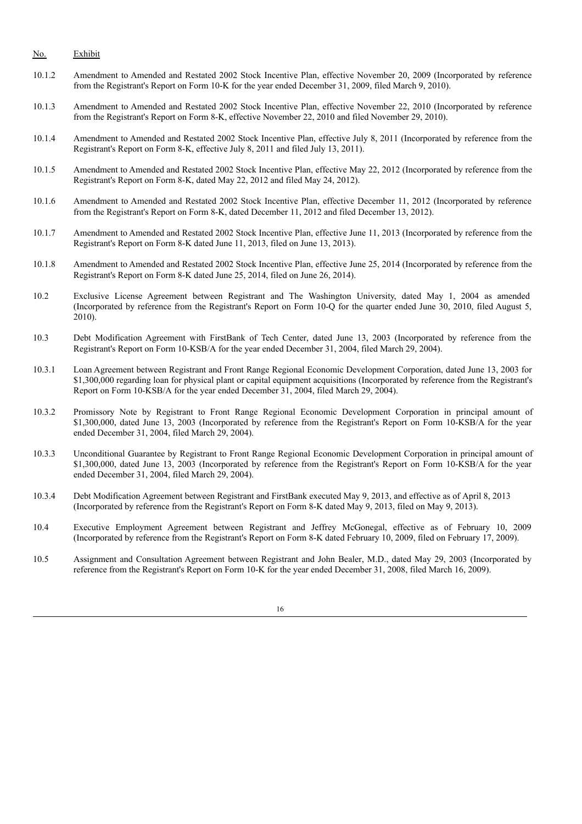## No. Exhibit

- 10.1.2 Amendment to Amended and Restated 2002 Stock Incentive Plan, effective November 20, 2009 (Incorporated by reference from the Registrant's Report on Form 10-K for the year ended December 31, 2009, filed March 9, 2010).
- 10.1.3 Amendment to Amended and Restated 2002 Stock Incentive Plan, effective November 22, 2010 (Incorporated by reference from the Registrant's Report on Form 8-K, effective November 22, 2010 and filed November 29, 2010).
- 10.1.4 Amendment to Amended and Restated 2002 Stock Incentive Plan, effective July 8, 2011 (Incorporated by reference from the Registrant's Report on Form 8-K, effective July 8, 2011 and filed July 13, 2011).
- 10.1.5 Amendment to Amended and Restated 2002 Stock Incentive Plan, effective May 22, 2012 (Incorporated by reference from the Registrant's Report on Form 8-K, dated May 22, 2012 and filed May 24, 2012).
- 10.1.6 Amendment to Amended and Restated 2002 Stock Incentive Plan, effective December 11, 2012 (Incorporated by reference from the Registrant's Report on Form 8-K, dated December 11, 2012 and filed December 13, 2012).
- 10.1.7 Amendment to Amended and Restated 2002 Stock Incentive Plan, effective June 11, 2013 (Incorporated by reference from the Registrant's Report on Form 8-K dated June 11, 2013, filed on June 13, 2013).
- 10.1.8 Amendment to Amended and Restated 2002 Stock Incentive Plan, effective June 25, 2014 (Incorporated by reference from the Registrant's Report on Form 8-K dated June 25, 2014, filed on June 26, 2014).
- 10.2 Exclusive License Agreement between Registrant and The Washington University, dated May 1, 2004 as amended (Incorporated by reference from the Registrant's Report on Form 10-Q for the quarter ended June 30, 2010, filed August 5, 2010).
- 10.3 Debt Modification Agreement with FirstBank of Tech Center, dated June 13, 2003 (Incorporated by reference from the Registrant's Report on Form 10-KSB/A for the year ended December 31, 2004, filed March 29, 2004).
- 10.3.1 Loan Agreement between Registrant and Front Range Regional Economic Development Corporation, dated June 13, 2003 for \$1,300,000 regarding loan for physical plant or capital equipment acquisitions (Incorporated by reference from the Registrant's Report on Form 10-KSB/A for the year ended December 31, 2004, filed March 29, 2004).
- 10.3.2 Promissory Note by Registrant to Front Range Regional Economic Development Corporation in principal amount of \$1,300,000, dated June 13, 2003 (Incorporated by reference from the Registrant's Report on Form 10-KSB/A for the year ended December 31, 2004, filed March 29, 2004).
- 10.3.3 Unconditional Guarantee by Registrant to Front Range Regional Economic Development Corporation in principal amount of \$1,300,000, dated June 13, 2003 (Incorporated by reference from the Registrant's Report on Form 10-KSB/A for the year ended December 31, 2004, filed March 29, 2004).
- 10.3.4 Debt Modification Agreement between Registrant and FirstBank executed May 9, 2013, and effective as of April 8, 2013 (Incorporated by reference from the Registrant's Report on Form 8-K dated May 9, 2013, filed on May 9, 2013).
- 10.4 Executive Employment Agreement between Registrant and Jeffrey McGonegal, effective as of February 10, 2009 (Incorporated by reference from the Registrant's Report on Form 8-K dated February 10, 2009, filed on February 17, 2009).
- 10.5 Assignment and Consultation Agreement between Registrant and John Bealer, M.D., dated May 29, 2003 (Incorporated by reference from the Registrant's Report on Form 10-K for the year ended December 31, 2008, filed March 16, 2009).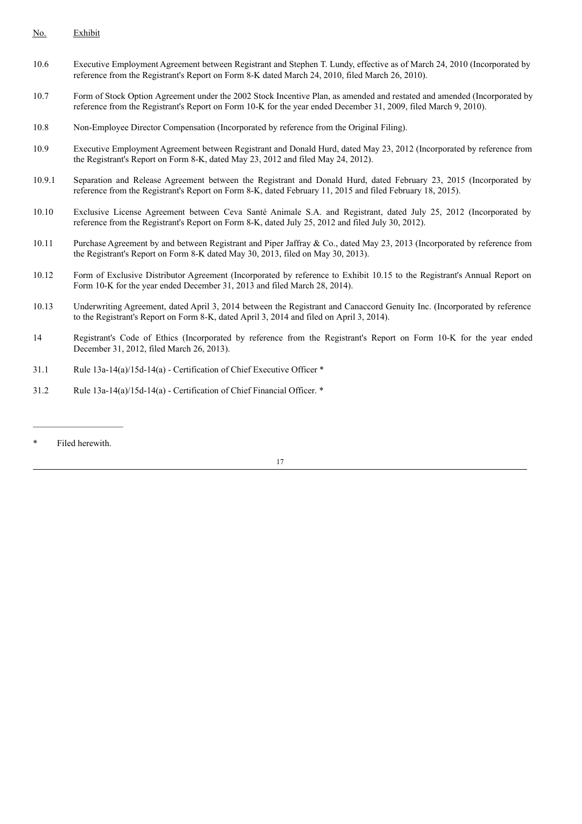- No. Exhibit
- 10.6 Executive Employment Agreement between Registrant and Stephen T. Lundy, effective as of March 24, 2010 (Incorporated by reference from the Registrant's Report on Form 8-K dated March 24, 2010, filed March 26, 2010).
- 10.7 Form of Stock Option Agreement under the 2002 Stock Incentive Plan, as amended and restated and amended (Incorporated by reference from the Registrant's Report on Form 10-K for the year ended December 31, 2009, filed March 9, 2010).
- 10.8 Non-Employee Director Compensation (Incorporated by reference from the Original Filing).
- 10.9 Executive Employment Agreement between Registrant and Donald Hurd, dated May 23, 2012 (Incorporated by reference from the Registrant's Report on Form 8-K, dated May 23, 2012 and filed May 24, 2012).
- 10.9.1 Separation and Release Agreement between the Registrant and Donald Hurd, dated February 23, 2015 (Incorporated by reference from the Registrant's Report on Form 8-K, dated February 11, 2015 and filed February 18, 2015).
- 10.10 Exclusive License Agreement between Ceva Santé Animale S.A. and Registrant, dated July 25, 2012 (Incorporated by reference from the Registrant's Report on Form 8-K, dated July 25, 2012 and filed July 30, 2012).
- 10.11 Purchase Agreement by and between Registrant and Piper Jaffray & Co., dated May 23, 2013 (Incorporated by reference from the Registrant's Report on Form 8-K dated May 30, 2013, filed on May 30, 2013).
- 10.12 Form of Exclusive Distributor Agreement (Incorporated by reference to Exhibit 10.15 to the Registrant's Annual Report on Form 10-K for the year ended December 31, 2013 and filed March 28, 2014).
- 10.13 Underwriting Agreement, dated April 3, 2014 between the Registrant and Canaccord Genuity Inc. (Incorporated by reference to the Registrant's Report on Form 8-K, dated April 3, 2014 and filed on April 3, 2014).
- 14 Registrant's Code of Ethics (Incorporated by reference from the Registrant's Report on Form 10-K for the year ended December 31, 2012, filed March 26, 2013).
- 31.1 Rule 13a-14(a)/15d-14(a) Certification of Chief Executive Officer \*
- 31.2 Rule 13a-14(a)/15d-14(a) Certification of Chief Financial Officer. \*

Filed herewith.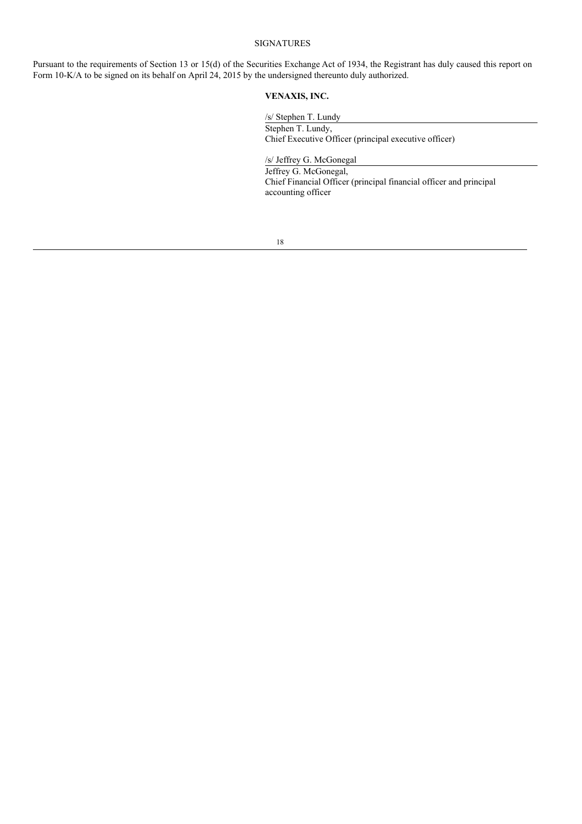#### SIGNATURES

Pursuant to the requirements of Section 13 or 15(d) of the Securities Exchange Act of 1934, the Registrant has duly caused this report on Form 10-K/A to be signed on its behalf on April 24, 2015 by the undersigned thereunto duly authorized.

# **VENAXIS, INC.**

/s/ Stephen T. Lundy Stephen T. Lundy, Chief Executive Officer (principal executive officer)

/s/ Jeffrey G. McGonegal

Jeffrey G. McGonegal, Chief Financial Officer (principal financial officer and principal accounting officer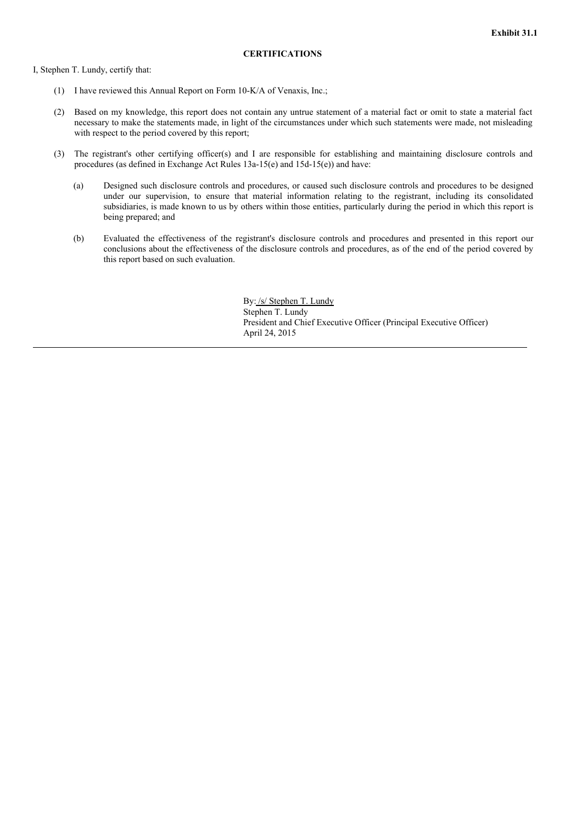## **CERTIFICATIONS**

I, Stephen T. Lundy, certify that:

- (1) I have reviewed this Annual Report on Form 10-K/A of Venaxis, Inc.;
- (2) Based on my knowledge, this report does not contain any untrue statement of a material fact or omit to state a material fact necessary to make the statements made, in light of the circumstances under which such statements were made, not misleading with respect to the period covered by this report;
- (3) The registrant's other certifying officer(s) and I are responsible for establishing and maintaining disclosure controls and procedures (as defined in Exchange Act Rules 13a-15(e) and 15d-15(e)) and have:
	- (a) Designed such disclosure controls and procedures, or caused such disclosure controls and procedures to be designed under our supervision, to ensure that material information relating to the registrant, including its consolidated subsidiaries, is made known to us by others within those entities, particularly during the period in which this report is being prepared; and
	- (b) Evaluated the effectiveness of the registrant's disclosure controls and procedures and presented in this report our conclusions about the effectiveness of the disclosure controls and procedures, as of the end of the period covered by this report based on such evaluation.

By: /s/ Stephen T. Lundy Stephen T. Lundy President and Chief Executive Officer (Principal Executive Officer) April 24, 2015